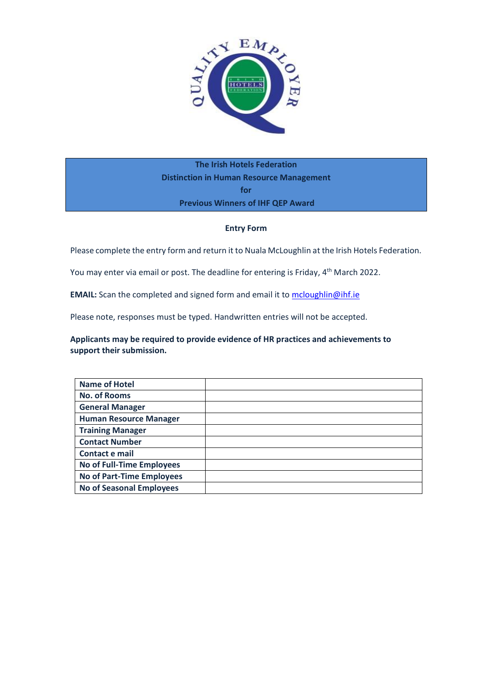

**The Irish Hotels Federation Distinction in Human Resource Management for Previous Winners of IHF QEP Award**

## **Entry Form**

Please complete the entry form and return it to Nuala McLoughlin at the Irish Hotels Federation.

You may enter via email or post. The deadline for entering is Friday, 4<sup>th</sup> March 2022.

**EMAIL:** Scan the completed and signed form and email it to [mcloughlin@ihf.ie](mailto:mcloughlin@ihf.ie)

Please note, responses must be typed. Handwritten entries will not be accepted.

## **Applicants may be required to provide evidence of HR practices and achievements to support their submission.**

| <b>Name of Hotel</b>             |  |
|----------------------------------|--|
| <b>No. of Rooms</b>              |  |
| <b>General Manager</b>           |  |
| <b>Human Resource Manager</b>    |  |
| <b>Training Manager</b>          |  |
| <b>Contact Number</b>            |  |
| Contact e mail                   |  |
| No of Full-Time Employees        |  |
| <b>No of Part-Time Employees</b> |  |
| <b>No of Seasonal Employees</b>  |  |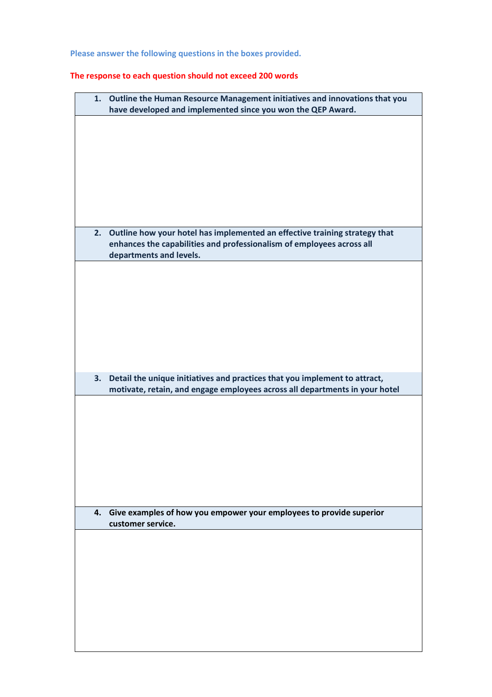**Please answer the following questions in the boxes provided.**

## **The response to each question should not exceed 200 words**

|    | 1. Outline the Human Resource Management initiatives and innovations that you<br>have developed and implemented since you won the QEP Award.                                      |
|----|-----------------------------------------------------------------------------------------------------------------------------------------------------------------------------------|
|    |                                                                                                                                                                                   |
|    |                                                                                                                                                                                   |
|    |                                                                                                                                                                                   |
|    |                                                                                                                                                                                   |
|    |                                                                                                                                                                                   |
|    |                                                                                                                                                                                   |
|    | 2. Outline how your hotel has implemented an effective training strategy that<br>enhances the capabilities and professionalism of employees across all<br>departments and levels. |
|    |                                                                                                                                                                                   |
|    |                                                                                                                                                                                   |
|    |                                                                                                                                                                                   |
|    |                                                                                                                                                                                   |
|    |                                                                                                                                                                                   |
| 3. | Detail the unique initiatives and practices that you implement to attract,                                                                                                        |
|    | motivate, retain, and engage employees across all departments in your hotel                                                                                                       |
|    |                                                                                                                                                                                   |
|    |                                                                                                                                                                                   |
|    |                                                                                                                                                                                   |
|    |                                                                                                                                                                                   |
|    |                                                                                                                                                                                   |
|    | 4. Give examples of how you empower your employees to provide superior                                                                                                            |
|    | customer service.                                                                                                                                                                 |
|    |                                                                                                                                                                                   |
|    |                                                                                                                                                                                   |
|    |                                                                                                                                                                                   |
|    |                                                                                                                                                                                   |
|    |                                                                                                                                                                                   |
|    |                                                                                                                                                                                   |